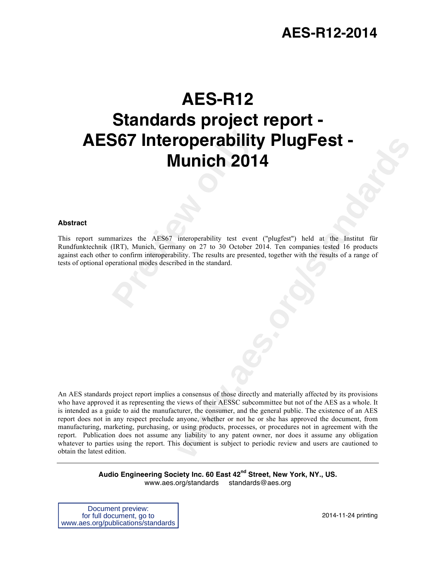# **AES-R12**

# **Provided AES67 interperability<br>
<b>Provided AES67**<br> **Previews the AES67** interperability test event<br>
(IRT), Munich, Germany on 27 to 30 October 2<br>
to confirm interperability. The results are present<br>
verational modes descri **Standards project report - AES67 Interoperability PlugFest - Munich 2014**

# **Abstract**

This report summarizes the AES67 interoperability test event ("plugfest") held at the Institut für Rundfunktechnik (IRT), Munich, Germany on 27 to 30 October 2014. Ten companies tested 16 products against each other to confirm interoperability. The results are presented, together with the results of a range of tests of optional operational modes described in the standard.

**Example 10.11 THE PERT -**<br> **WEB THE SET -**<br>
IMPLICE 2014 The comparise lessed 16 products<br>
thiny on 27 to 30 October 2014. Ten companise lessed 16 products<br>
thiny the results are presented, together with the results of a An AES standards project report implies a consensus of those directly and materially affected by its provisions who have approved it as representing the views of their AESSC subcommittee but not of the AES as a whole. It is intended as a guide to aid the manufacturer, the consumer, and the general public. The existence of an AES report does not in any respect preclude anyone, whether or not he or she has approved the document, from manufacturing, marketing, purchasing, or using products, processes, or procedures not in agreement with the report. Publication does not assume any liability to any patent owner, nor does it assume any obligation whatever to parties using the report. This document is subject to periodic review and users are cautioned to obtain the latest edition.

> **Audio Engineering Society Inc. 60 East 42nd Street, New York, NY., US.** www.aes.org/standards standards@aes.org

Document preview: for full document, go to www.aes.org/publications/standards

2014-11-24 printing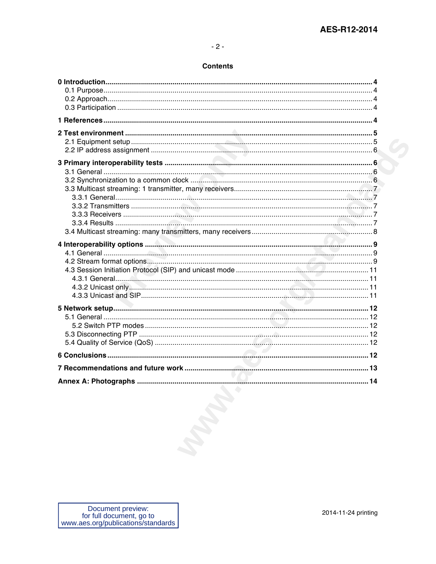# $-2-$

# **Contents**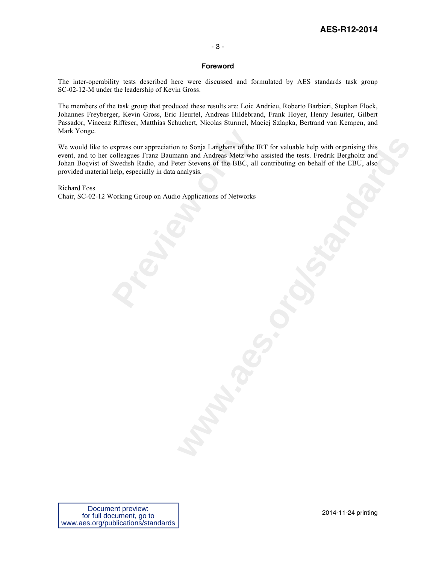# - 3 -

# **Foreword**

The inter-operability tests described here were discussed and formulated by AES standards task group SC-02-12-M under the leadership of Kevin Gross.

The members of the task group that produced these results are: Loic Andrieu, Roberto Barbieri, Stephan Flock, Johannes Freyberger, Kevin Gross, Eric Heurtel, Andreas Hildebrand, Frank Hoyer, Henry Jesuiter, Gilbert Passador, Vincenz Riffeser, Matthias Schuchert, Nicolas Sturmel, Maciej Szlapka, Bertrand van Kempen, and Mark Yonge.

express our appreciation to Sonja Langhans of the loolleagues Franz Baumann and Andreas Metz whose Swedish Radio, and Peter Stevens of the BBC, all elp, especially in data analysis.<br>
Vorking Group on Audio Applications of **w** to Sonja Langhans of the IRT for valuable help with organising this<br>ama nd Andreas Metz who assisted the tests. Fredrik Bergholtz and<br>ter Stevens of the BBC, all contributing on behalf of the EBU, also<br>analysis.<br>**o** Ap We would like to express our appreciation to Sonja Langhans of the IRT for valuable help with organising this event, and to her colleagues Franz Baumann and Andreas Metz who assisted the tests. Fredrik Bergholtz and Johan Boqvist of Swedish Radio, and Peter Stevens of the BBC, all contributing on behalf of the EBU, also provided material help, especially in data analysis.

Richard Foss Chair, SC-02-12 Working Group on Audio Applications of Networks